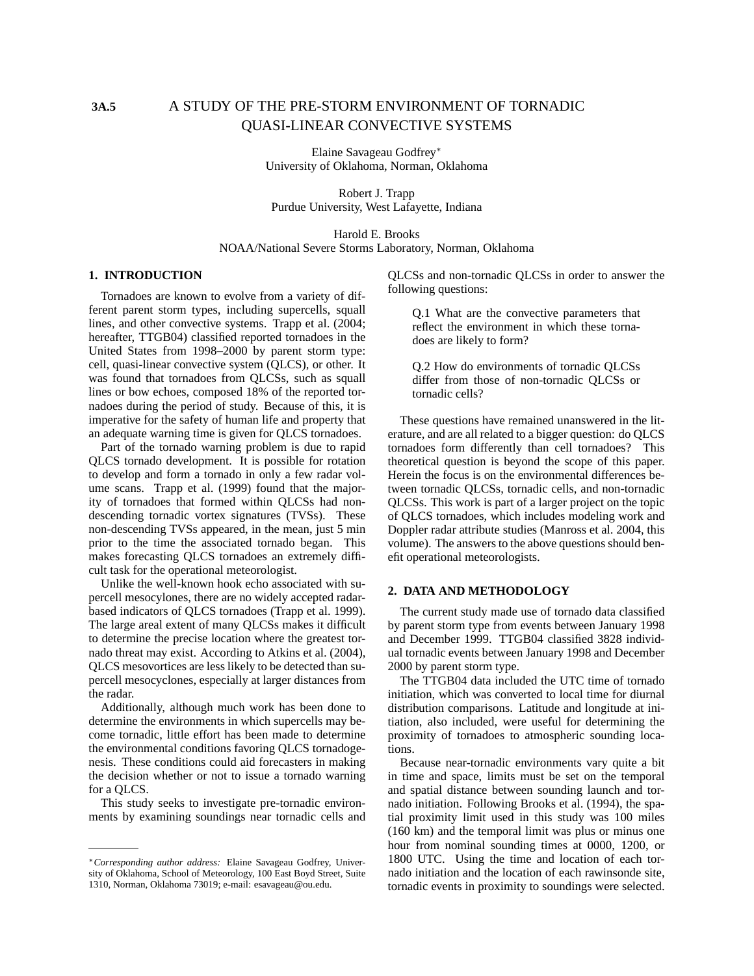# **3A.5** A STUDY OF THE PRE-STORM ENVIRONMENT OF TORNADIC QUASI-LINEAR CONVECTIVE SYSTEMS

Elaine Savageau Godfrey<sup>∗</sup> University of Oklahoma, Norman, Oklahoma

Robert J. Trapp Purdue University, West Lafayette, Indiana

Harold E. Brooks NOAA/National Severe Storms Laboratory, Norman, Oklahoma

#### **1. INTRODUCTION**

Tornadoes are known to evolve from a variety of different parent storm types, including supercells, squall lines, and other convective systems. Trapp et al. (2004; hereafter, TTGB04) classified reported tornadoes in the United States from 1998–2000 by parent storm type: cell, quasi-linear convective system (QLCS), or other. It was found that tornadoes from QLCSs, such as squall lines or bow echoes, composed 18% of the reported tornadoes during the period of study. Because of this, it is imperative for the safety of human life and property that an adequate warning time is given for QLCS tornadoes.

Part of the tornado warning problem is due to rapid QLCS tornado development. It is possible for rotation to develop and form a tornado in only a few radar volume scans. Trapp et al. (1999) found that the majority of tornadoes that formed within QLCSs had nondescending tornadic vortex signatures (TVSs). These non-descending TVSs appeared, in the mean, just 5 min prior to the time the associated tornado began. This makes forecasting QLCS tornadoes an extremely difficult task for the operational meteorologist.

Unlike the well-known hook echo associated with supercell mesocylones, there are no widely accepted radarbased indicators of QLCS tornadoes (Trapp et al. 1999). The large areal extent of many QLCSs makes it difficult to determine the precise location where the greatest tornado threat may exist. According to Atkins et al. (2004), QLCS mesovortices are less likely to be detected than supercell mesocyclones, especially at larger distances from the radar.

Additionally, although much work has been done to determine the environments in which supercells may become tornadic, little effort has been made to determine the environmental conditions favoring QLCS tornadogenesis. These conditions could aid forecasters in making the decision whether or not to issue a tornado warning for a QLCS.

This study seeks to investigate pre-tornadic environments by examining soundings near tornadic cells and QLCSs and non-tornadic QLCSs in order to answer the following questions:

Q.1 What are the convective parameters that reflect the environment in which these tornadoes are likely to form?

Q.2 How do environments of tornadic QLCSs differ from those of non-tornadic QLCSs or tornadic cells?

These questions have remained unanswered in the literature, and are all related to a bigger question: do QLCS tornadoes form differently than cell tornadoes? This theoretical question is beyond the scope of this paper. Herein the focus is on the environmental differences between tornadic QLCSs, tornadic cells, and non-tornadic QLCSs. This work is part of a larger project on the topic of QLCS tornadoes, which includes modeling work and Doppler radar attribute studies (Manross et al. 2004, this volume). The answers to the above questions should benefit operational meteorologists.

#### **2. DATA AND METHODOLOGY**

The current study made use of tornado data classified by parent storm type from events between January 1998 and December 1999. TTGB04 classified 3828 individual tornadic events between January 1998 and December 2000 by parent storm type.

The TTGB04 data included the UTC time of tornado initiation, which was converted to local time for diurnal distribution comparisons. Latitude and longitude at initiation, also included, were useful for determining the proximity of tornadoes to atmospheric sounding locations.

Because near-tornadic environments vary quite a bit in time and space, limits must be set on the temporal and spatial distance between sounding launch and tornado initiation. Following Brooks et al. (1994), the spatial proximity limit used in this study was 100 miles (160 km) and the temporal limit was plus or minus one hour from nominal sounding times at 0000, 1200, or 1800 UTC. Using the time and location of each tornado initiation and the location of each rawinsonde site, tornadic events in proximity to soundings were selected.

<sup>∗</sup>*Corresponding author address:* Elaine Savageau Godfrey, University of Oklahoma, School of Meteorology, 100 East Boyd Street, Suite 1310, Norman, Oklahoma 73019; e-mail: esavageau@ou.edu.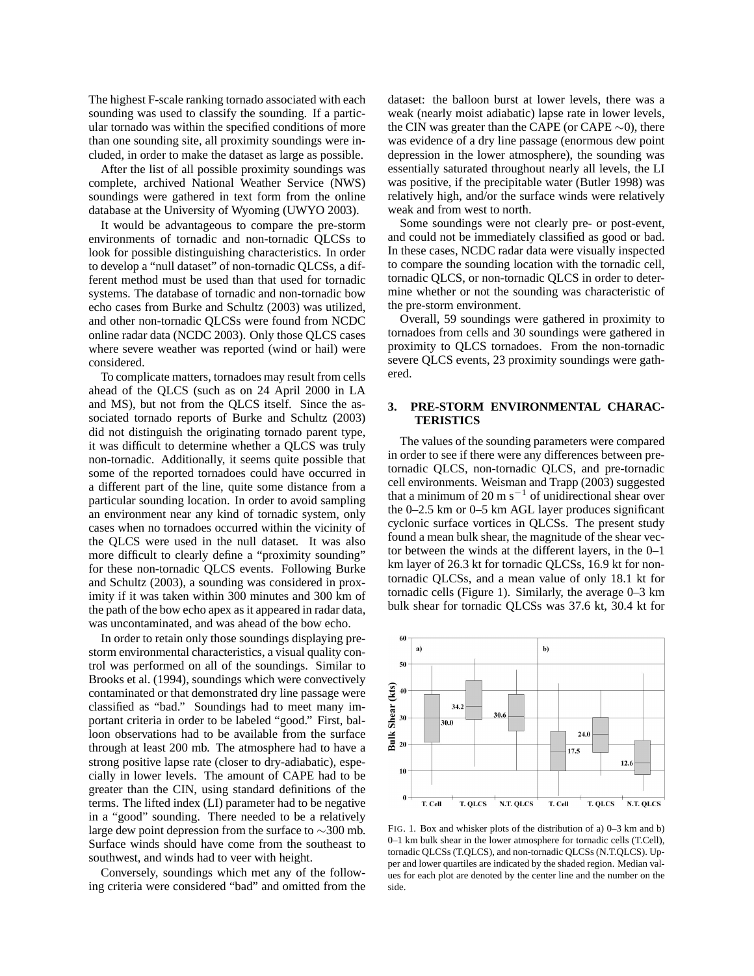The highest F-scale ranking tornado associated with each sounding was used to classify the sounding. If a particular tornado was within the specified conditions of more than one sounding site, all proximity soundings were included, in order to make the dataset as large as possible.

After the list of all possible proximity soundings was complete, archived National Weather Service (NWS) soundings were gathered in text form from the online database at the University of Wyoming (UWYO 2003).

It would be advantageous to compare the pre-storm environments of tornadic and non-tornadic QLCSs to look for possible distinguishing characteristics. In order to develop a "null dataset" of non-tornadic QLCSs, a different method must be used than that used for tornadic systems. The database of tornadic and non-tornadic bow echo cases from Burke and Schultz (2003) was utilized, and other non-tornadic QLCSs were found from NCDC online radar data (NCDC 2003). Only those QLCS cases where severe weather was reported (wind or hail) were considered.

To complicate matters, tornadoes may result from cells ahead of the QLCS (such as on 24 April 2000 in LA and MS), but not from the QLCS itself. Since the associated tornado reports of Burke and Schultz (2003) did not distinguish the originating tornado parent type, it was difficult to determine whether a QLCS was truly non-tornadic. Additionally, it seems quite possible that some of the reported tornadoes could have occurred in a different part of the line, quite some distance from a particular sounding location. In order to avoid sampling an environment near any kind of tornadic system, only cases when no tornadoes occurred within the vicinity of the QLCS were used in the null dataset. It was also more difficult to clearly define a "proximity sounding" for these non-tornadic QLCS events. Following Burke and Schultz (2003), a sounding was considered in proximity if it was taken within 300 minutes and 300 km of the path of the bow echo apex as it appeared in radar data, was uncontaminated, and was ahead of the bow echo.

In order to retain only those soundings displaying prestorm environmental characteristics, a visual quality control was performed on all of the soundings. Similar to Brooks et al. (1994), soundings which were convectively contaminated or that demonstrated dry line passage were classified as "bad." Soundings had to meet many important criteria in order to be labeled "good." First, balloon observations had to be available from the surface through at least 200 mb. The atmosphere had to have a strong positive lapse rate (closer to dry-adiabatic), especially in lower levels. The amount of CAPE had to be greater than the CIN, using standard definitions of the terms. The lifted index (LI) parameter had to be negative in a "good" sounding. There needed to be a relatively large dew point depression from the surface to ∼300 mb. Surface winds should have come from the southeast to southwest, and winds had to veer with height.

Conversely, soundings which met any of the following criteria were considered "bad" and omitted from the dataset: the balloon burst at lower levels, there was a weak (nearly moist adiabatic) lapse rate in lower levels, the CIN was greater than the CAPE (or CAPE ∼0), there was evidence of a dry line passage (enormous dew point depression in the lower atmosphere), the sounding was essentially saturated throughout nearly all levels, the LI was positive, if the precipitable water (Butler 1998) was relatively high, and/or the surface winds were relatively weak and from west to north.

Some soundings were not clearly pre- or post-event, and could not be immediately classified as good or bad. In these cases, NCDC radar data were visually inspected to compare the sounding location with the tornadic cell, tornadic QLCS, or non-tornadic QLCS in order to determine whether or not the sounding was characteristic of the pre-storm environment.

Overall, 59 soundings were gathered in proximity to tornadoes from cells and 30 soundings were gathered in proximity to QLCS tornadoes. From the non-tornadic severe QLCS events, 23 proximity soundings were gathered.

### **3. PRE-STORM ENVIRONMENTAL CHARAC-TERISTICS**

The values of the sounding parameters were compared in order to see if there were any differences between pretornadic QLCS, non-tornadic QLCS, and pre-tornadic cell environments. Weisman and Trapp (2003) suggested that a minimum of 20 m s<sup> $-1$ </sup> of unidirectional shear over the 0–2.5 km or 0–5 km AGL layer produces significant cyclonic surface vortices in QLCSs. The present study found a mean bulk shear, the magnitude of the shear vector between the winds at the different layers, in the 0–1 km layer of 26.3 kt for tornadic QLCSs, 16.9 kt for nontornadic QLCSs, and a mean value of only 18.1 kt for tornadic cells (Figure 1). Similarly, the average 0–3 km bulk shear for tornadic QLCSs was 37.6 kt, 30.4 kt for



FIG. 1. Box and whisker plots of the distribution of a) 0–3 km and b) 0–1 km bulk shear in the lower atmosphere for tornadic cells (T.Cell), tornadic QLCSs (T.QLCS), and non-tornadic QLCSs (N.T.QLCS). Upper and lower quartiles are indicated by the shaded region. Median values for each plot are denoted by the center line and the number on the side.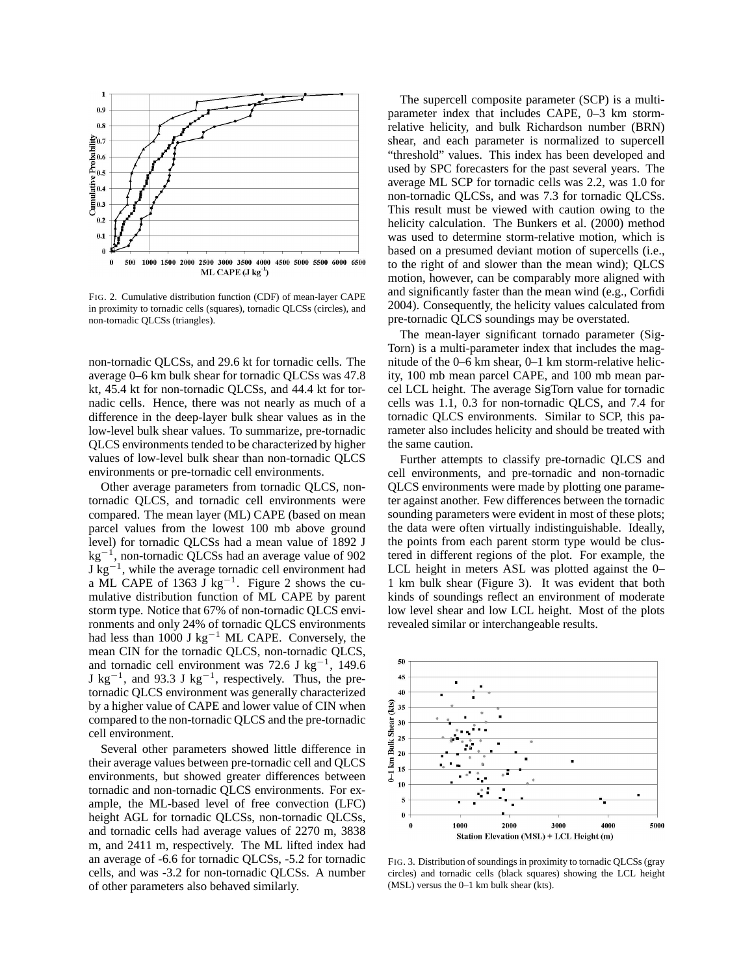

FIG. 2. Cumulative distribution function (CDF) of mean-layer CAPE in proximity to tornadic cells (squares), tornadic QLCSs (circles), and non-tornadic QLCSs (triangles).

non-tornadic QLCSs, and 29.6 kt for tornadic cells. The average 0–6 km bulk shear for tornadic QLCSs was 47.8 kt, 45.4 kt for non-tornadic QLCSs, and 44.4 kt for tornadic cells. Hence, there was not nearly as much of a difference in the deep-layer bulk shear values as in the low-level bulk shear values. To summarize, pre-tornadic QLCS environments tended to be characterized by higher values of low-level bulk shear than non-tornadic QLCS environments or pre-tornadic cell environments.

Other average parameters from tornadic QLCS, nontornadic QLCS, and tornadic cell environments were compared. The mean layer (ML) CAPE (based on mean parcel values from the lowest 100 mb above ground level) for tornadic QLCSs had a mean value of 1892 J kg<sup>−</sup><sup>1</sup> , non-tornadic QLCSs had an average value of 902  $J$  kg<sup>-1</sup>, while the average tornadic cell environment had a ML CAPE of 1363  $\bar{J}$  kg<sup>-1</sup>. Figure 2 shows the cumulative distribution function of ML CAPE by parent storm type. Notice that 67% of non-tornadic QLCS environments and only 24% of tornadic QLCS environments had less than 1000 J kg<sup>-1</sup> ML CAPE. Conversely, the mean CIN for the tornadic QLCS, non-tornadic QLCS, and tornadic cell environment was 72.6 J kg<sup>-1</sup>, 149.6  $J kg^{-1}$ , and 93.3 J kg<sup>-1</sup>, respectively. Thus, the pretornadic QLCS environment was generally characterized by a higher value of CAPE and lower value of CIN when compared to the non-tornadic QLCS and the pre-tornadic cell environment.

Several other parameters showed little difference in their average values between pre-tornadic cell and QLCS environments, but showed greater differences between tornadic and non-tornadic QLCS environments. For example, the ML-based level of free convection (LFC) height AGL for tornadic QLCSs, non-tornadic QLCSs, and tornadic cells had average values of 2270 m, 3838 m, and 2411 m, respectively. The ML lifted index had an average of -6.6 for tornadic QLCSs, -5.2 for tornadic cells, and was -3.2 for non-tornadic QLCSs. A number of other parameters also behaved similarly.

The supercell composite parameter (SCP) is a multiparameter index that includes CAPE, 0–3 km stormrelative helicity, and bulk Richardson number (BRN) shear, and each parameter is normalized to supercell "threshold" values. This index has been developed and used by SPC forecasters for the past several years. The average ML SCP for tornadic cells was 2.2, was 1.0 for non-tornadic QLCSs, and was 7.3 for tornadic QLCSs. This result must be viewed with caution owing to the helicity calculation. The Bunkers et al. (2000) method was used to determine storm-relative motion, which is based on a presumed deviant motion of supercells (i.e., to the right of and slower than the mean wind); QLCS motion, however, can be comparably more aligned with and significantly faster than the mean wind (e.g., Corfidi 2004). Consequently, the helicity values calculated from pre-tornadic QLCS soundings may be overstated.

The mean-layer significant tornado parameter (Sig-Torn) is a multi-parameter index that includes the magnitude of the 0–6 km shear, 0–1 km storm-relative helicity, 100 mb mean parcel CAPE, and 100 mb mean parcel LCL height. The average SigTorn value for tornadic cells was 1.1, 0.3 for non-tornadic QLCS, and 7.4 for tornadic QLCS environments. Similar to SCP, this parameter also includes helicity and should be treated with the same caution.

Further attempts to classify pre-tornadic QLCS and cell environments, and pre-tornadic and non-tornadic QLCS environments were made by plotting one parameter against another. Few differences between the tornadic sounding parameters were evident in most of these plots; the data were often virtually indistinguishable. Ideally, the points from each parent storm type would be clustered in different regions of the plot. For example, the LCL height in meters ASL was plotted against the 0– 1 km bulk shear (Figure 3). It was evident that both kinds of soundings reflect an environment of moderate low level shear and low LCL height. Most of the plots revealed similar or interchangeable results.



FIG. 3. Distribution of soundings in proximity to tornadic QLCSs (gray circles) and tornadic cells (black squares) showing the LCL height (MSL) versus the 0–1 km bulk shear (kts).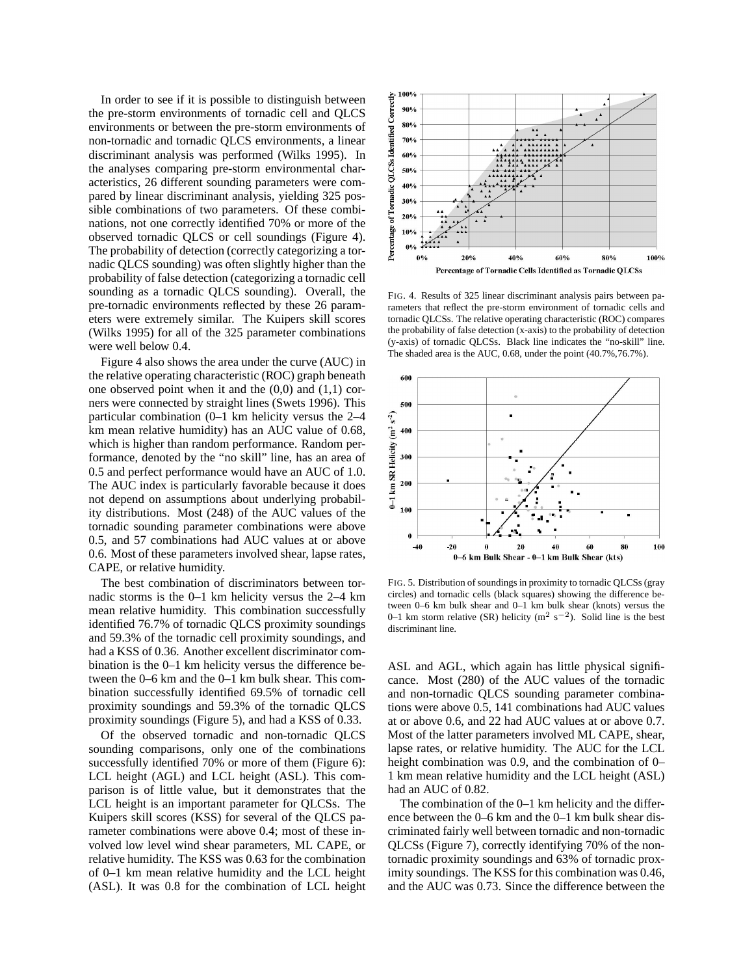In order to see if it is possible to distinguish between the pre-storm environments of tornadic cell and QLCS environments or between the pre-storm environments of non-tornadic and tornadic QLCS environments, a linear discriminant analysis was performed (Wilks 1995). In the analyses comparing pre-storm environmental characteristics, 26 different sounding parameters were compared by linear discriminant analysis, yielding 325 possible combinations of two parameters. Of these combinations, not one correctly identified 70% or more of the observed tornadic QLCS or cell soundings (Figure 4). The probability of detection (correctly categorizing a tornadic QLCS sounding) was often slightly higher than the probability of false detection (categorizing a tornadic cell sounding as a tornadic QLCS sounding). Overall, the pre-tornadic environments reflected by these 26 parameters were extremely similar. The Kuipers skill scores (Wilks 1995) for all of the 325 parameter combinations were well below 0.4.

Figure 4 also shows the area under the curve (AUC) in the relative operating characteristic (ROC) graph beneath one observed point when it and the  $(0,0)$  and  $(1,1)$  corners were connected by straight lines (Swets 1996). This particular combination (0–1 km helicity versus the 2–4 km mean relative humidity) has an AUC value of 0.68, which is higher than random performance. Random performance, denoted by the "no skill" line, has an area of 0.5 and perfect performance would have an AUC of 1.0. The AUC index is particularly favorable because it does not depend on assumptions about underlying probability distributions. Most (248) of the AUC values of the tornadic sounding parameter combinations were above 0.5, and 57 combinations had AUC values at or above 0.6. Most of these parameters involved shear, lapse rates, CAPE, or relative humidity.

The best combination of discriminators between tornadic storms is the 0–1 km helicity versus the 2–4 km mean relative humidity. This combination successfully identified 76.7% of tornadic QLCS proximity soundings and 59.3% of the tornadic cell proximity soundings, and had a KSS of 0.36. Another excellent discriminator combination is the 0–1 km helicity versus the difference between the 0–6 km and the 0–1 km bulk shear. This combination successfully identified 69.5% of tornadic cell proximity soundings and 59.3% of the tornadic QLCS proximity soundings (Figure 5), and had a KSS of 0.33.

Of the observed tornadic and non-tornadic QLCS sounding comparisons, only one of the combinations successfully identified 70% or more of them (Figure 6): LCL height (AGL) and LCL height (ASL). This comparison is of little value, but it demonstrates that the LCL height is an important parameter for QLCSs. The Kuipers skill scores (KSS) for several of the QLCS parameter combinations were above 0.4; most of these involved low level wind shear parameters, ML CAPE, or relative humidity. The KSS was 0.63 for the combination of 0–1 km mean relative humidity and the LCL height (ASL). It was 0.8 for the combination of LCL height



FIG. 4. Results of 325 linear discriminant analysis pairs between parameters that reflect the pre-storm environment of tornadic cells and tornadic QLCSs. The relative operating characteristic (ROC) compares the probability of false detection (x-axis) to the probability of detection (y-axis) of tornadic QLCSs. Black line indicates the "no-skill" line. The shaded area is the AUC, 0.68, under the point (40.7%,76.7%).



FIG. 5. Distribution of soundings in proximity to tornadic QLCSs (gray circles) and tornadic cells (black squares) showing the difference between 0–6 km bulk shear and 0–1 km bulk shear (knots) versus the 0–1 km storm relative (SR) helicity ( $m^2 s^{-2}$ ). Solid line is the best discriminant line.

ASL and AGL, which again has little physical significance. Most (280) of the AUC values of the tornadic and non-tornadic QLCS sounding parameter combinations were above 0.5, 141 combinations had AUC values at or above 0.6, and 22 had AUC values at or above 0.7. Most of the latter parameters involved ML CAPE, shear, lapse rates, or relative humidity. The AUC for the LCL height combination was 0.9, and the combination of 0– 1 km mean relative humidity and the LCL height (ASL) had an AUC of 0.82.

The combination of the 0–1 km helicity and the difference between the 0–6 km and the 0–1 km bulk shear discriminated fairly well between tornadic and non-tornadic QLCSs (Figure 7), correctly identifying 70% of the nontornadic proximity soundings and 63% of tornadic proximity soundings. The KSS for this combination was 0.46, and the AUC was 0.73. Since the difference between the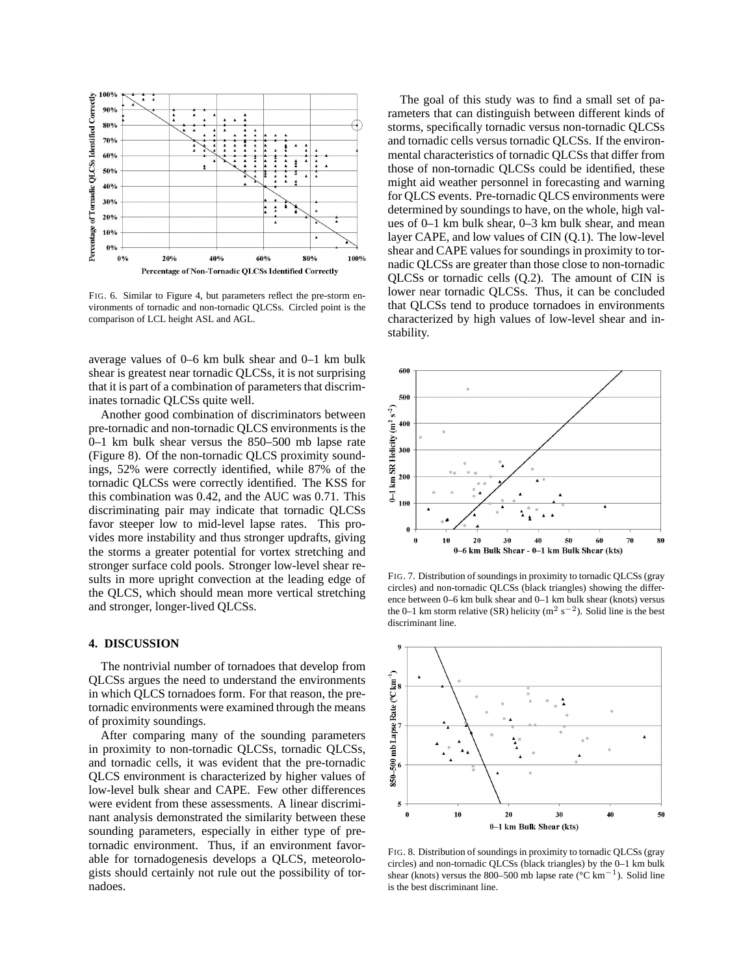

FIG. 6. Similar to Figure 4, but parameters reflect the pre-storm environments of tornadic and non-tornadic QLCSs. Circled point is the comparison of LCL height ASL and AGL.

average values of 0–6 km bulk shear and 0–1 km bulk shear is greatest near tornadic QLCSs, it is not surprising that it is part of a combination of parameters that discriminates tornadic QLCSs quite well.

Another good combination of discriminators between pre-tornadic and non-tornadic QLCS environments is the 0–1 km bulk shear versus the 850–500 mb lapse rate (Figure 8). Of the non-tornadic QLCS proximity soundings, 52% were correctly identified, while 87% of the tornadic QLCSs were correctly identified. The KSS for this combination was 0.42, and the AUC was 0.71. This discriminating pair may indicate that tornadic QLCSs favor steeper low to mid-level lapse rates. This provides more instability and thus stronger updrafts, giving the storms a greater potential for vortex stretching and stronger surface cold pools. Stronger low-level shear results in more upright convection at the leading edge of the QLCS, which should mean more vertical stretching and stronger, longer-lived QLCSs.

## **4. DISCUSSION**

The nontrivial number of tornadoes that develop from QLCSs argues the need to understand the environments in which QLCS tornadoes form. For that reason, the pretornadic environments were examined through the means of proximity soundings.

After comparing many of the sounding parameters in proximity to non-tornadic QLCSs, tornadic QLCSs, and tornadic cells, it was evident that the pre-tornadic QLCS environment is characterized by higher values of low-level bulk shear and CAPE. Few other differences were evident from these assessments. A linear discriminant analysis demonstrated the similarity between these sounding parameters, especially in either type of pretornadic environment. Thus, if an environment favorable for tornadogenesis develops a QLCS, meteorologists should certainly not rule out the possibility of tornadoes.

The goal of this study was to find a small set of parameters that can distinguish between different kinds of storms, specifically tornadic versus non-tornadic QLCSs and tornadic cells versus tornadic QLCSs. If the environmental characteristics of tornadic QLCSs that differ from those of non-tornadic QLCSs could be identified, these might aid weather personnel in forecasting and warning for QLCS events. Pre-tornadic QLCS environments were determined by soundings to have, on the whole, high values of 0–1 km bulk shear, 0–3 km bulk shear, and mean layer CAPE, and low values of CIN (Q.1). The low-level shear and CAPE values for soundings in proximity to tornadic QLCSs are greater than those close to non-tornadic QLCSs or tornadic cells (Q.2). The amount of CIN is lower near tornadic QLCSs. Thus, it can be concluded that QLCSs tend to produce tornadoes in environments characterized by high values of low-level shear and instability.



FIG. 7. Distribution of soundings in proximity to tornadic QLCSs (gray circles) and non-tornadic QLCSs (black triangles) showing the difference between 0–6 km bulk shear and 0–1 km bulk shear (knots) versus the 0–1 km storm relative (SR) helicity ( $m^2 s^{-2}$ ). Solid line is the best discriminant line.



FIG. 8. Distribution of soundings in proximity to tornadic QLCSs (gray circles) and non-tornadic QLCSs (black triangles) by the 0–1 km bulk shear (knots) versus the 800–500 mb lapse rate ( $\rm ^{\circ}C~km^{-1}$ ). Solid line is the best discriminant line.